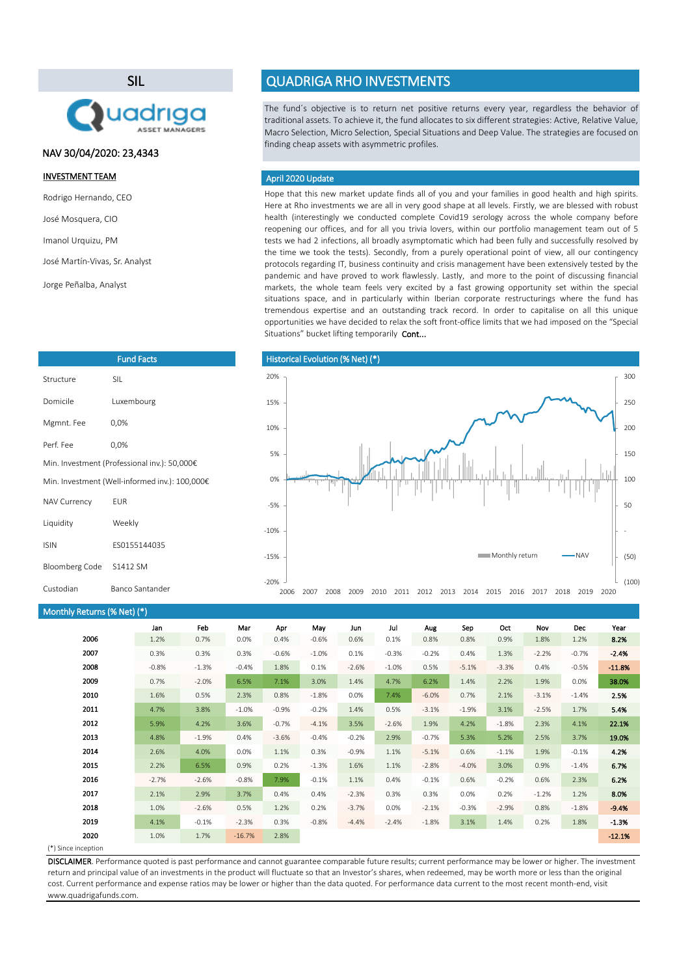SIL



# NAV 30/04/2020: 23,4343

## INVESTMENT TEAM

- Rodrigo Hernando, CEO
- José Mosquera, CIO
- Imanol Urquizu, PM

```
José Martín-Vivas, Sr. Analyst
```
Jorge Peñalba, Analyst

| <b>Fund Facts</b>                              |                                              |  |  |  |
|------------------------------------------------|----------------------------------------------|--|--|--|
| Structure                                      | SII.                                         |  |  |  |
| Domicile                                       | Luxembourg                                   |  |  |  |
| Mgmnt. Fee                                     | 0,0%                                         |  |  |  |
| Perf Fee                                       | 0,0%                                         |  |  |  |
|                                                | Min. Investment (Professional inv.): 50,000€ |  |  |  |
| Min. Investment (Well-informed inv.): 100,000€ |                                              |  |  |  |
| <b>NAV Currency</b>                            | <b>FUR</b>                                   |  |  |  |
| Liquidity                                      | Weekly                                       |  |  |  |
| <b>ISIN</b>                                    | FS0155144035                                 |  |  |  |
| <b>Bloomberg Code</b>                          | S1412 SM                                     |  |  |  |
| Custodian                                      | Banco Santander                              |  |  |  |

# QUADRIGA RHO INVESTMENTS

The fund´s objective is to return net positive returns every year, regardless the behavior of traditional assets. To achieve it, the fund allocates to six different strategies: Active, Relative Value, Macro Selection, Micro Selection, Special Situations and Deep Value. The strategies are focused on finding cheap assets with asymmetric profiles.

## April 2020 Update

Hope that this new market update finds all of you and your families in good health and high spirits. Here at Rho investments we are all in very good shape at all levels. Firstly, we are blessed with robust health (interestingly we conducted complete Covid19 serology across the whole company before reopening our offices, and for all you trivia lovers, within our portfolio management team out of 5 tests we had 2 infections, all broadly asymptomatic which had been fully and successfully resolved by the time we took the tests). Secondly, from a purely operational point of view, all our contingency protocols regarding IT, business continuity and crisis management have been extensively tested by the pandemic and have proved to work flawlessly. Lastly, and more to the point of discussing financial markets, the whole team feels very excited by a fast growing opportunity set within the special situations space, and in particularly within Iberian corporate restructurings where the fund has tremendous expertise and an outstanding track record. In order to capitalise on all this unique opportunities we have decided to relax the soft front-office limits that we had imposed on the "Special Situations" bucket lifting temporarily Cont...



### Monthly Returns (% Net) (\*)

|      | Jan     | Feb     | Mar      | Apr     | May     | Jun     | Jul     | Aug     | Sep     | Oct     | Nov     | <b>Dec</b> | Year     |
|------|---------|---------|----------|---------|---------|---------|---------|---------|---------|---------|---------|------------|----------|
| 2006 | 1.2%    | 0.7%    | 0.0%     | 0.4%    | $-0.6%$ | 0.6%    | 0.1%    | 0.8%    | 0.8%    | 0.9%    | 1.8%    | 1.2%       | 8.2%     |
| 2007 | 0.3%    | 0.3%    | 0.3%     | $-0.6%$ | $-1.0%$ | 0.1%    | $-0.3%$ | $-0.2%$ | 0.4%    | 1.3%    | $-2.2%$ | $-0.7%$    | $-2.4%$  |
| 2008 | $-0.8%$ | $-1.3%$ | $-0.4%$  | 1.8%    | 0.1%    | $-2.6%$ | $-1.0%$ | 0.5%    | $-5.1%$ | $-3.3%$ | 0.4%    | $-0.5%$    | $-11.8%$ |
| 2009 | 0.7%    | $-2.0%$ | 6.5%     | 7.1%    | 3.0%    | 1.4%    | 4.7%    | 6.2%    | 1.4%    | 2.2%    | 1.9%    | 0.0%       | 38.0%    |
| 2010 | 1.6%    | 0.5%    | 2.3%     | 0.8%    | $-1.8%$ | 0.0%    | 7.4%    | $-6.0%$ | 0.7%    | 2.1%    | $-3.1%$ | $-1.4%$    | 2.5%     |
| 2011 | 4.7%    | 3.8%    | $-1.0%$  | $-0.9%$ | $-0.2%$ | 1.4%    | 0.5%    | $-3.1%$ | $-1.9%$ | 3.1%    | $-2.5%$ | 1.7%       | 5.4%     |
| 2012 | 5.9%    | 4.2%    | 3.6%     | $-0.7%$ | $-4.1%$ | 3.5%    | $-2.6%$ | 1.9%    | 4.2%    | $-1.8%$ | 2.3%    | 4.1%       | 22.1%    |
| 2013 | 4.8%    | $-1.9%$ | 0.4%     | $-3.6%$ | $-0.4%$ | $-0.2%$ | 2.9%    | $-0.7%$ | 5.3%    | 5.2%    | 2.5%    | 3.7%       | 19.0%    |
| 2014 | 2.6%    | 4.0%    | 0.0%     | 1.1%    | 0.3%    | $-0.9%$ | 1.1%    | $-5.1%$ | 0.6%    | $-1.1%$ | 1.9%    | $-0.1%$    | 4.2%     |
| 2015 | 2.2%    | 6.5%    | 0.9%     | 0.2%    | $-1.3%$ | 1.6%    | 1.1%    | $-2.8%$ | $-4.0%$ | 3.0%    | 0.9%    | $-1.4%$    | 6.7%     |
| 2016 | $-2.7%$ | $-2.6%$ | $-0.8%$  | 7.9%    | $-0.1%$ | 1.1%    | 0.4%    | $-0.1%$ | 0.6%    | $-0.2%$ | 0.6%    | 2.3%       | 6.2%     |
| 2017 | 2.1%    | 2.9%    | 3.7%     | 0.4%    | 0.4%    | $-2.3%$ | 0.3%    | 0.3%    | 0.0%    | 0.2%    | $-1.2%$ | 1.2%       | 8.0%     |
| 2018 | 1.0%    | $-2.6%$ | 0.5%     | 1.2%    | 0.2%    | $-3.7%$ | 0.0%    | $-2.1%$ | $-0.3%$ | $-2.9%$ | 0.8%    | $-1.8%$    | $-9.4%$  |
| 2019 | 4.1%    | $-0.1%$ | $-2.3%$  | 0.3%    | $-0.8%$ | $-4.4%$ | $-2.4%$ | $-1.8%$ | 3.1%    | 1.4%    | 0.2%    | 1.8%       | $-1.3%$  |
| 2020 | 1.0%    | 1.7%    | $-16.7%$ | 2.8%    |         |         |         |         |         |         |         |            | $-12.1%$ |

#### (\*) Since inception

DISCLAIMER. Performance quoted is past performance and cannot guarantee comparable future results; current performance may be lower or higher. The investment return and principal value of an investments in the product will fluctuate so that an Investor's shares, when redeemed, may be worth more or less than the original cost. Current performance and expense ratios may be lower or higher than the data quoted. For performance data current to the most recent month-end, visit www.quadrigafunds.com.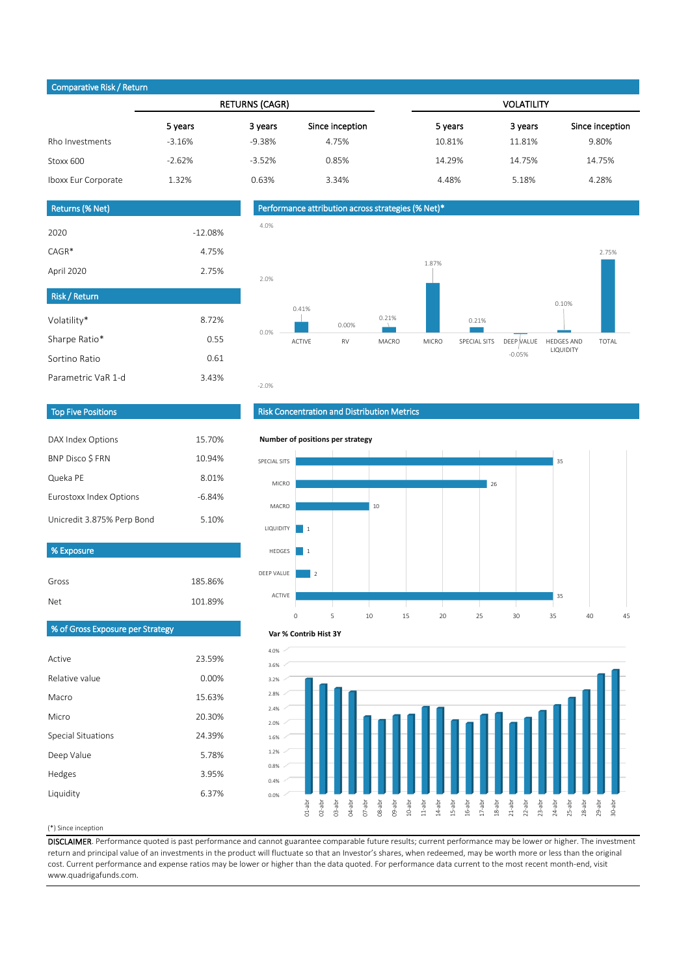# Comparative Risk / Return

|                     |          | <b>RETURNS (CAGR)</b> |                 | <b>VOLATILITY</b> |         |                 |  |  |
|---------------------|----------|-----------------------|-----------------|-------------------|---------|-----------------|--|--|
|                     | 5 years  | 3 years               | Since inception | 5 years           | 3 years | Since inception |  |  |
| Rho Investments     | $-3.16%$ | $-9.38%$              | 4.75%           | 10.81%            | 11.81%  | 9.80%           |  |  |
| Stoxx 600           | $-2.62%$ | $-3.52%$              | 0.85%           | 14.29%            | 14.75%  | 14.75%          |  |  |
| Iboxx Eur Corporate | 1.32%    | 0.63%                 | 3.34%           | 4.48%             | 5.18%   | 4.28%           |  |  |
|                     |          |                       |                 |                   |         |                 |  |  |

# Returns (% Net)

| <b>Risk / Return</b> |           |
|----------------------|-----------|
|                      |           |
| April 2020           | 2.75%     |
| $CAGR*$              | 4.75%     |
| 2020                 | $-12.08%$ |
|                      |           |

| <b>Risk / Return</b> |       |
|----------------------|-------|
| Volatility*          | 8.72% |
| Sharpe Ratio*        | O 55  |
| Sortino Ratio        | 0.61  |
| Parametric VaR 1-d   | 3.43% |

# Performance attribution across strategies (% Net)\*



## Top Five Positions

| DAX Index Options          | 15.70%   |
|----------------------------|----------|
| <b>BNP Disco S FRN</b>     | 10.94%   |
| Queka PE                   | 8.01%    |
| Eurostoxx Index Options    | $-6.84%$ |
| Unicredit 3.875% Perp Bond | 5.10%    |

| % Exposure |         |
|------------|---------|
|            |         |
| Gross      | 185.86% |
| Net        | 101.89% |

# Risk Concentration and Distribution Metrics



# % of Gross Exposure per Strategy

| Active             | 23.59% |
|--------------------|--------|
| Relative value     | 0.00%  |
| Macro              | 15.63% |
| Micro              | 20.30% |
| Special Situations | 24.39% |
| Deep Value         | 5.78%  |
| Hedges             | 3.95%  |
| Liquidity          | 6.37%  |



#### (\*) Since inception

DISCLAIMER. Performance quoted is past performance and cannot guarantee comparable future results; current performance may be lower or higher. The investment return and principal value of an investments in the product will fluctuate so that an Investor's shares, when redeemed, may be worth more or less than the original cost. Current performance and expense ratios may be lower or higher than the data quoted. For performance data current to the most recent month-end, visit www.quadrigafunds.com.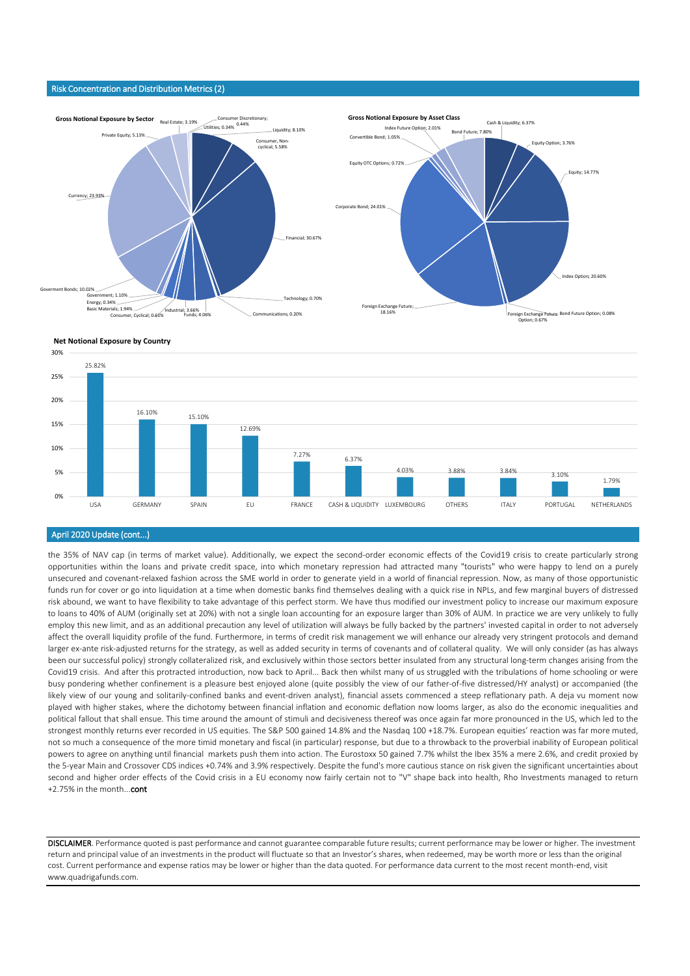#### Risk Concentration and Distribution Metrics (2)





### April 2020 Update (cont...)

the 35% of NAV cap (in terms of market value). Additionally, we expect the second-order economic effects of the Covid19 crisis to create particularly strong opportunities within the loans and private credit space, into which monetary repression had attracted many "tourists" who were happy to lend on a purely unsecured and covenant-relaxed fashion across the SME world in order to generate yield in a world of financial repression. Now, as many of those opportunistic funds run for cover or go into liquidation at a time when domestic banks find themselves dealing with a quick rise in NPLs, and few marginal buyers of distressed risk abound, we want to have flexibility to take advantage of this perfect storm. We have thus modified our investment policy to increase our maximum exposure to loans to 40% of AUM (originally set at 20%) with not a single loan accounting for an exposure larger than 30% of AUM. In practice we are very unlikely to fully employ this new limit, and as an additional precaution any level of utilization will always be fully backed by the partners' invested capital in order to not adversely affect the overall liquidity profile of the fund. Furthermore, in terms of credit risk management we will enhance our already very stringent protocols and demand larger ex-ante risk-adjusted returns for the strategy, as well as added security in terms of covenants and of collateral quality. We will only consider (as has always been our successful policy) strongly collateralized risk, and exclusively within those sectors better insulated from any structural long-term changes arising from the Covid19 crisis. And after this protracted introduction, now back to April... Back then whilst many of us struggled with the tribulations of home schooling or were busy pondering whether confinement is a pleasure best enjoyed alone (quite possibly the view of our father-of-five distressed/HY analyst) or accompanied (the likely view of our young and solitarily-confined banks and event-driven analyst), financial assets commenced a steep reflationary path. A deja vu moment now played with higher stakes, where the dichotomy between financial inflation and economic deflation now looms larger, as also do the economic inequalities and political fallout that shall ensue. This time around the amount of stimuli and decisiveness thereof was once again far more pronounced in the US, which led to the strongest monthly returns ever recorded in US equities. The S&P 500 gained 14.8% and the Nasdaq 100 +18.7%. European equities' reaction was far more muted, not so much a consequence of the more timid monetary and fiscal (in particular) response, but due to a throwback to the proverbial inability of European political powers to agree on anything until financial markets push them into action. The Eurostoxx 50 gained 7.7% whilst the Ibex 35% a mere 2.6%, and credit proxied by the 5-year Main and Crossover CDS indices +0.74% and 3.9% respectively. Despite the fund's more cautious stance on risk given the significant uncertainties about second and higher order effects of the Covid crisis in a EU economy now fairly certain not to "V" shape back into health, Rho Investments managed to return +2.75% in the month...cont

DISCLAIMER. Performance quoted is past performance and cannot guarantee comparable future results; current performance may be lower or higher. The investment return and principal value of an investments in the product will fluctuate so that an Investor's shares, when redeemed, may be worth more or less than the original cost. Current performance and expense ratios may be lower or higher than the data quoted. For performance data current to the most recent month-end, visit www.quadrigafunds.com.